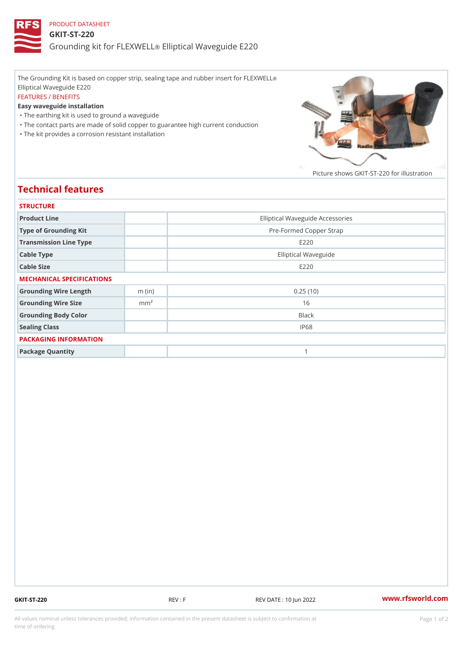## PRODUCT DATASHEET GKIT-ST-220 Grounding kit for **ELEIXIVE tal** Waveguide E220

The Grounding Kit is based on copper strip, sealing tape and rubber insert for FLEXWELL ® Elliptical Waveguide E220 FEATURES / BENEFITS Easy waveguide installation "The earthing kit is used to ground a waveguide "The contact parts are made of solid copper to guarantee high current conduction

"The kit provides a corrosion resistant installation

Picture shows  $GKIT-ST-220$  for ill

## Technical features

| <b>STRUCTURE</b>          |                  |                                  |
|---------------------------|------------------|----------------------------------|
| Product Line              |                  | Elliptical Waveguide Accessories |
| Type of Grounding Kit     |                  | Pre-Formed Copper Strap          |
| Transmission Line Type    |                  | E 2 2 0                          |
| Cable Type                |                  | Elliptical Waveguide             |
| Cable Size                |                  | E 2 2 0                          |
| MECHANICAL SPECIFICATIONS |                  |                                  |
| Grounding Wire Length     | $m$ (in)         | 0.25(10)                         |
| Grounding Wire Size       | m m <sup>2</sup> | 16                               |
| Grounding Body Color      |                  | Black                            |
| Sealing Class             |                  | IP68                             |
| PACKAGING INFORMATION     |                  |                                  |
| Package Quantity          |                  | 1                                |

GKIT-ST-220 REV : F REV DATE : 10 Jun 2022 [www.](https://www.rfsworld.com)rfsworld.com